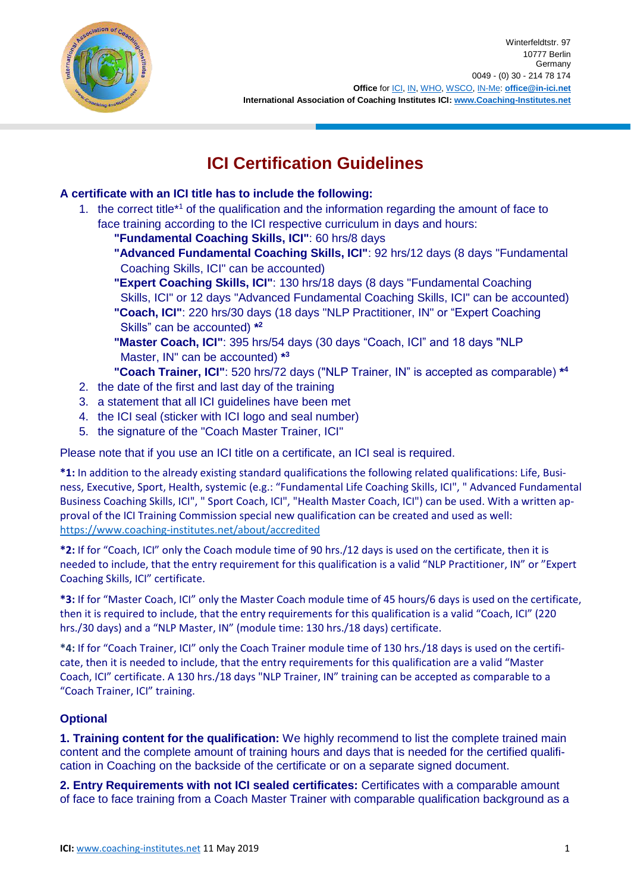

# **ICI Certification Guidelines**

## **A certificate with an ICI title has to include the following:**

- 1. the correct title<sup>\*1</sup> of the qualification and the information regarding the amount of face to face training according to the ICI respective curriculum in days and hours:
	- **"Fundamental Coaching Skills, ICI"**: 60 hrs/8 days
	- **"Advanced Fundamental Coaching Skills, ICI"**: 92 hrs/12 days (8 days "Fundamental Coaching Skills, ICI" can be accounted)
	- **"Expert Coaching Skills, ICI"**: 130 hrs/18 days (8 days "Fundamental Coaching Skills, ICI" or 12 days "Advanced Fundamental Coaching Skills, ICI" can be accounted) **"Coach, ICI"**: 220 hrs/30 days (18 days "NLP Practitioner, IN" or "Expert Coaching Skills" can be accounted) **\* 2**
	- **"Master Coach, ICI"**: 395 hrs/54 days (30 days "Coach, ICI" and 18 days "NLP Master, IN" can be accounted) **\* 3**
	- **"Coach Trainer, ICI"**: 520 hrs/72 days ("NLP Trainer, IN" is accepted as comparable) **\* 4**
- 2. the date of the first and last day of the training
- 3. a statement that all ICI guidelines have been met
- 4. the ICI seal (sticker with ICI logo and seal number)
- 5. the signature of the "Coach Master Trainer, ICI"

Please note that if you use an ICI title on a certificate, an ICI seal is required.

**\*1:** In addition to the already existing standard qualifications the following related qualifications: Life, Business, Executive, Sport, Health, systemic (e.g.: "Fundamental Life Coaching Skills, ICI", " Advanced Fundamental Business Coaching Skills, ICI", " Sport Coach, ICI", "Health Master Coach, ICI") can be used. With a written approval of the ICI Training Commission special new qualification can be created and used as well: <https://www.coaching-institutes.net/about/accredited>

**\*2:** If for "Coach, ICI" only the Coach module time of 90 hrs./12 days is used on the certificate, then it is needed to include, that the entry requirement for this qualification is a valid "NLP Practitioner, IN" or "Expert Coaching Skills, ICI" certificate.

**\*3:** If for "Master Coach, ICI" only the Master Coach module time of 45 hours/6 days is used on the certificate, then it is required to include, that the entry requirements for this qualification is a valid "Coach, ICI" (220 hrs./30 days) and a "NLP Master, IN" (module time: 130 hrs./18 days) certificate.

**\*4:** If for "Coach Trainer, ICI" only the Coach Trainer module time of 130 hrs./18 days is used on the certificate, then it is needed to include, that the entry requirements for this qualification are a valid "Master Coach, ICI" certificate. A 130 hrs./18 days "NLP Trainer, IN" training can be accepted as comparable to a "Coach Trainer, ICI" training.

## **Optional**

**1. Training content for the qualification:** We highly recommend to list the complete trained main content and the complete amount of training hours and days that is needed for the certified qualification in Coaching on the backside of the certificate or on a separate signed document.

**2. Entry Requirements with not ICI sealed certificates:** Certificates with a comparable amount of face to face training from a Coach Master Trainer with comparable qualification background as a